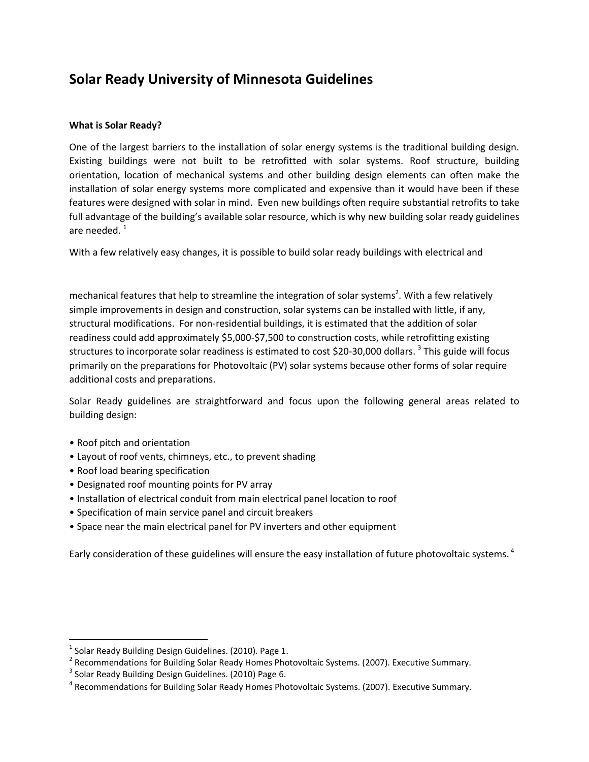# **Solar Ready University of Minnesota Guidelines**

## **What is Solar Ready?**

One of the largest barriers to the installation of solar energy systems is the traditional building design. Existing buildings were not built to be retrofitted with solar systems. Roof structure, building orientation, location of mechanical systems and other building design elements can often make the installation of solar energy systems more complicated and expensive than it would have been if these features were designed with solar in mind. Even new buildings often require substantial retrofits to take full advantage of the building's available solar resource, which is why new building solar ready guidelines are needed. $1$ 

With a few relatively easy changes, it is possible to build solar ready buildings with electrical and

mechanical features that help to streamline the integration of solar systems<sup>2</sup>. With a few relatively simple improvements in design and construction, solar systems can be installed with little, if any, structural modifications. For non-residential buildings, it is estimated that the addition of solar readiness could add approximately \$5,000-\$7,500 to construction costs, while retrofitting existing structures to incorporate solar readiness is estimated to cost \$20-30,000 dollars. <sup>3</sup> This guide will focus primarily on the preparations for Photovoltaic (PV) solar systems because other forms of solar require additional costs and preparations.

Solar Ready guidelines are straightforward and focus upon the following general areas related to building design:

• Roof pitch and orientation

 $\overline{\phantom{a}}$ 

- Layout of roof vents, chimneys, etc., to prevent shading
- Roof load bearing specification
- Designated roof mounting points for PV array
- Installation of electrical conduit from main electrical panel location to roof
- Specification of main service panel and circuit breakers
- Space near the main electrical panel for PV inverters and other equipment

Early consideration of these guidelines will ensure the easy installation of future photovoltaic systems.<sup>4</sup>

 $^{1}$  Solar Ready Building Design Guidelines. (2010). Page 1.

<sup>&</sup>lt;sup>2</sup> Recommendations for Building Solar Ready Homes Photovoltaic Systems. (2007). Executive Summary.

 $3$  Solar Ready Building Design Guidelines. (2010) Page 6.

<sup>&</sup>lt;sup>4</sup> Recommendations for Building Solar Ready Homes Photovoltaic Systems. (2007). Executive Summary.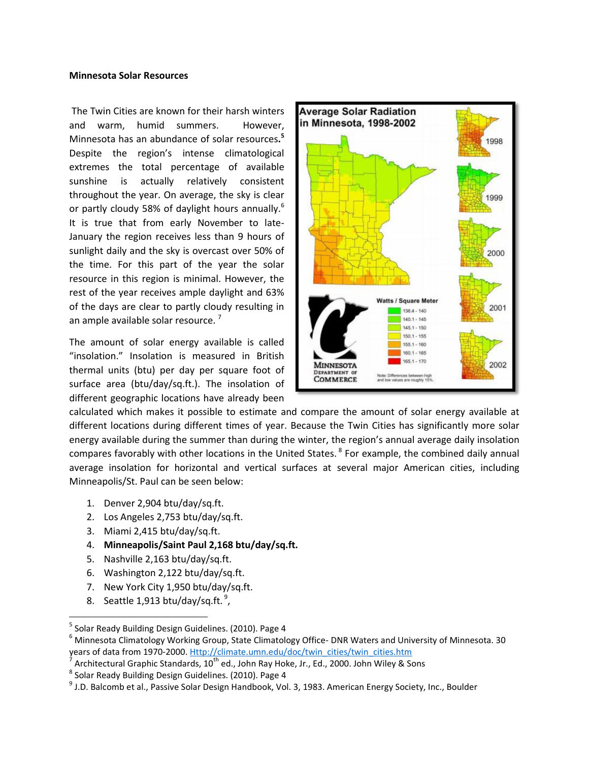#### **Minnesota Solar Resources**

The Twin Cities are known for their harsh winters and warm, humid summers. However, Minnesota has an abundance of solar resources**. 5** Despite the region's intense climatological extremes the total percentage of available sunshine is actually relatively consistent throughout the year. On average, the sky is clear or partly cloudy 58% of daylight hours annually.<sup>6</sup> It is true that from early November to late-January the region receives less than 9 hours of sunlight daily and the sky is overcast over 50% of the time. For this part of the year the solar resource in this region is minimal. However, the rest of the year receives ample daylight and 63% of the days are clear to partly cloudy resulting in an ample available solar resource.<sup>7</sup>

The amount of solar energy available is called "insolation." Insolation is measured in British thermal units (btu) per day per square foot of surface area (btu/day/sq.ft.). The insolation of different geographic locations have already been



calculated which makes it possible to estimate and compare the amount of solar energy available at different locations during different times of year. Because the Twin Cities has significantly more solar energy available during the summer than during the winter, the region's annual average daily insolation compares favorably with other locations in the United States. <sup>8</sup> For example, the combined daily annual average insolation for horizontal and vertical surfaces at several major American cities, including Minneapolis/St. Paul can be seen below:

- 1. Denver 2,904 btu/day/sq.ft.
- 2. Los Angeles 2,753 btu/day/sq.ft.
- 3. Miami 2,415 btu/day/sq.ft.
- 4. **Minneapolis/Saint Paul 2,168 btu/day/sq.ft.**
- 5. Nashville 2,163 btu/day/sq.ft.
- 6. Washington 2,122 btu/day/sq.ft.
- 7. New York City 1,950 btu/day/sq.ft.
- 8. Seattle 1,913 btu/day/sq.ft. $\degree$ ,

 $\overline{a}$ 

<sup>&</sup>lt;sup>5</sup> Solar Ready Building Design Guidelines. (2010). Page 4

<sup>6</sup> Minnesota Climatology Working Group, State Climatology Office- DNR Waters and University of Minnesota. 30 years of data from 1970-2000[. Http://climate.umn.edu/doc/twin\\_cities/twin\\_cities.htm](http://climate.umn.edu/doc/twin_cities/twin_cities.htm)

<sup>7</sup> Architectural Graphic Standards, 10<sup>th</sup> ed., John Ray Hoke, Jr., Ed., 2000. John Wiley & Sons

<sup>&</sup>lt;sup>8</sup> Solar Ready Building Design Guidelines. (2010). Page 4

 $^9$  J.D. Balcomb et al., Passive Solar Design Handbook, Vol. 3, 1983. American Energy Society, Inc., Boulder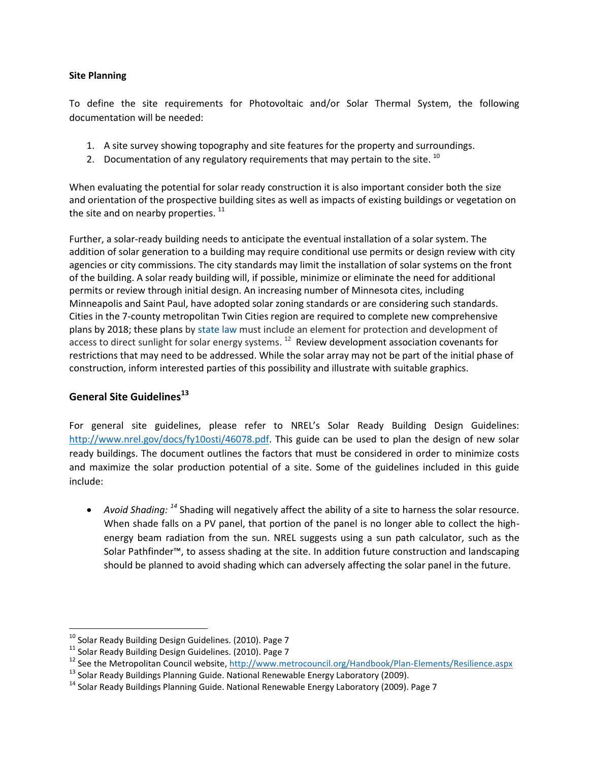### **Site Planning**

To define the site requirements for Photovoltaic and/or Solar Thermal System, the following documentation will be needed:

- 1. A site survey showing topography and site features for the property and surroundings.
- 2. Documentation of any regulatory requirements that may pertain to the site.  $^{10}$

When evaluating the potential for solar ready construction it is also important consider both the size and orientation of the prospective building sites as well as impacts of existing buildings or vegetation on the site and on nearby properties.  $11$ 

Further, a solar-ready building needs to anticipate the eventual installation of a solar system. The addition of solar generation to a building may require conditional use permits or design review with city agencies or city commissions. The city standards may limit the installation of solar systems on the front of the building. A solar ready building will, if possible, minimize or eliminate the need for additional permits or review through initial design. An increasing number of Minnesota cites, including Minneapolis and Saint Paul, have adopted solar zoning standards or are considering such standards. Cities in the 7-county metropolitan Twin Cities region are required to complete new comprehensive plans by 2018; these plans by [state](https://www.revisor.mn.gov/statutes/?id=473.859) law must include an element for protection and development of access to direct sunlight for solar energy systems. <sup>12</sup> Review development association covenants for restrictions that may need to be addressed. While the solar array may not be part of the initial phase of construction, inform interested parties of this possibility and illustrate with suitable graphics.

# **General Site Guidelines<sup>13</sup>**

l

For general site guidelines, please refer to NREL's Solar Ready Building Design Guidelines: [http://www.nrel.gov/docs/fy10osti/46078.pdf.](http://www.nrel.gov/docs/fy10osti/46078.pdf) This guide can be used to plan the design of new solar ready buildings. The document outlines the factors that must be considered in order to minimize costs and maximize the solar production potential of a site. Some of the guidelines included in this guide include:

• Avoid Shading: <sup>14</sup> Shading will negatively affect the ability of a site to harness the solar resource. When shade falls on a PV panel, that portion of the panel is no longer able to collect the highenergy beam radiation from the sun. NREL suggests using a sun path calculator, such as the Solar Pathfinder™, to assess shading at the site. In addition future construction and landscaping should be planned to avoid shading which can adversely affecting the solar panel in the future.

 $^{10}$  Solar Ready Building Design Guidelines. (2010). Page 7

<sup>11</sup> Solar Ready Building Design Guidelines. (2010). Page 7

<sup>&</sup>lt;sup>12</sup> See the Metropolitan Council website,<http://www.metrocouncil.org/Handbook/Plan-Elements/Resilience.aspx>

 $13$  Solar Ready Buildings Planning Guide. National Renewable Energy Laboratory (2009).

 $14$  Solar Ready Buildings Planning Guide. National Renewable Energy Laboratory (2009). Page 7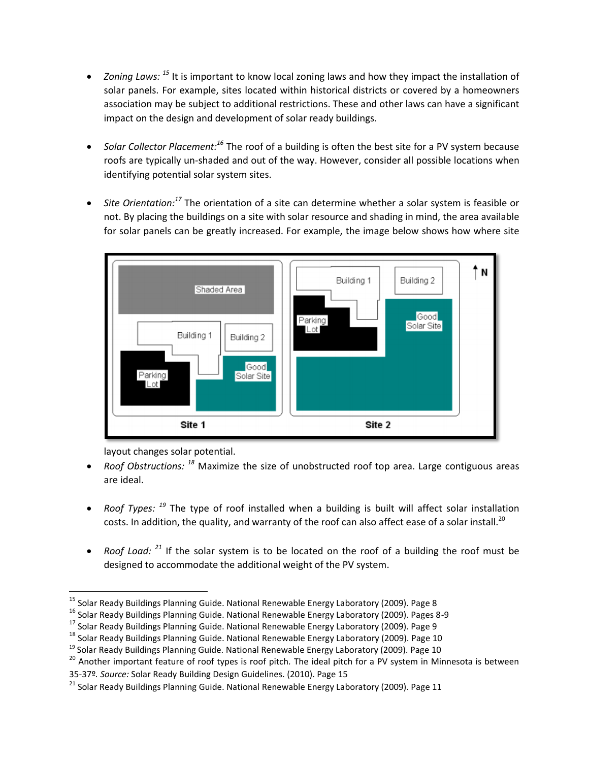- *Zoning Laws:* <sup>15</sup> It is important to know local zoning laws and how they impact the installation of solar panels. For example, sites located within historical districts or covered by a homeowners association may be subject to additional restrictions. These and other laws can have a significant impact on the design and development of solar ready buildings.
- Solar Collector Placement:<sup>16</sup> The roof of a building is often the best site for a PV system because roofs are typically un-shaded and out of the way. However, consider all possible locations when identifying potential solar system sites.
- Site Orientation:<sup>17</sup> The orientation of a site can determine whether a solar system is feasible or not. By placing the buildings on a site with solar resource and shading in mind, the area available for solar panels can be greatly increased. For example, the image below shows how where site



layout changes solar potential.

 $\overline{\phantom{a}}$ 

- Roof Obstructions: <sup>18</sup> Maximize the size of unobstructed roof top area. Large contiguous areas are ideal.
- Roof Types: <sup>19</sup> The type of roof installed when a building is built will affect solar installation costs. In addition, the quality, and warranty of the roof can also affect ease of a solar install.<sup>20</sup>
- Roof Load: <sup>21</sup> If the solar system is to be located on the roof of a building the roof must be designed to accommodate the additional weight of the PV system.

<sup>16</sup> Solar Ready Buildings Planning Guide. National Renewable Energy Laboratory (2009). Pages 8-9

<sup>&</sup>lt;sup>15</sup> Solar Ready Buildings Planning Guide. National Renewable Energy Laboratory (2009). Page 8

<sup>&</sup>lt;sup>17</sup> Solar Ready Buildings Planning Guide. National Renewable Energy Laboratory (2009). Page 9

<sup>&</sup>lt;sup>18</sup> Solar Ready Buildings Planning Guide. National Renewable Energy Laboratory (2009). Page 10

 $19$  Solar Ready Buildings Planning Guide. National Renewable Energy Laboratory (2009). Page 10

<sup>20</sup> Another important feature of roof types is roof pitch*.* The ideal pitch for a PV system in Minnesota is between

<sup>35-37</sup>º*. Source:* Solar Ready Building Design Guidelines. (2010). Page 15

<sup>&</sup>lt;sup>21</sup> Solar Ready Buildings Planning Guide. National Renewable Energy Laboratory (2009). Page 11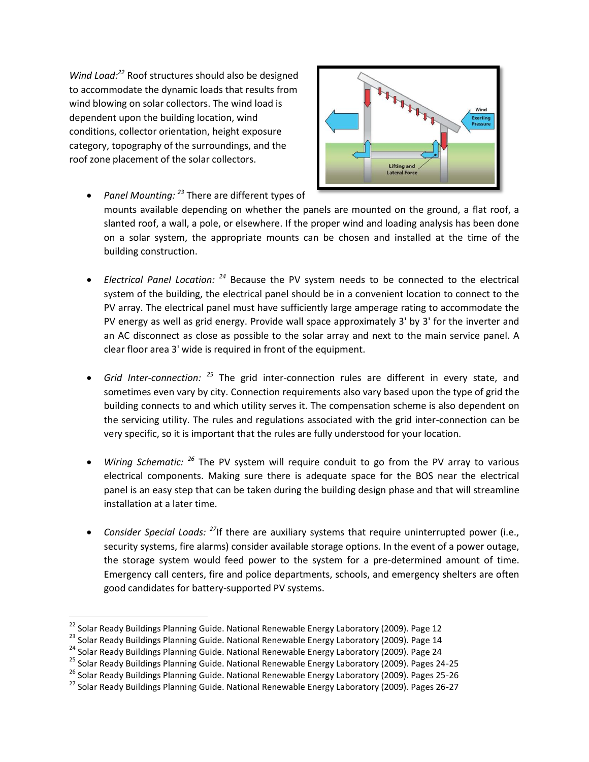*Wind Load: <sup>22</sup>* Roof structures should also be designed to accommodate the dynamic loads that results from wind blowing on solar collectors. The wind load is dependent upon the building location, wind conditions, collector orientation, height exposure category, topography of the surroundings, and the roof zone placement of the solar collectors.



- *Panel Mounting: <sup>23</sup>* There are different types of mounts available depending on whether the panels are mounted on the ground, a flat roof, a slanted roof, a wall, a pole, or elsewhere. If the proper wind and loading analysis has been done on a solar system, the appropriate mounts can be chosen and installed at the time of the building construction.
- Electrical Panel Location: <sup>24</sup> Because the PV system needs to be connected to the electrical system of the building, the electrical panel should be in a convenient location to connect to the PV array. The electrical panel must have sufficiently large amperage rating to accommodate the PV energy as well as grid energy. Provide wall space approximately 3' by 3' for the inverter and an AC disconnect as close as possible to the solar array and next to the main service panel. A clear floor area 3' wide is required in front of the equipment.
- Grid Inter-connection: <sup>25</sup> The grid inter-connection rules are different in every state, and sometimes even vary by city. Connection requirements also vary based upon the type of grid the building connects to and which utility serves it. The compensation scheme is also dependent on the servicing utility. The rules and regulations associated with the grid inter-connection can be very specific, so it is important that the rules are fully understood for your location.
- Wiring Schematic: <sup>26</sup> The PV system will require conduit to go from the PV array to various electrical components. Making sure there is adequate space for the BOS near the electrical panel is an easy step that can be taken during the building design phase and that will streamline installation at a later time.
- *Consider Special Loads: <sup>27</sup>*If there are auxiliary systems that require uninterrupted power (i.e., security systems, fire alarms) consider available storage options. In the event of a power outage, the storage system would feed power to the system for a pre-determined amount of time. Emergency call centers, fire and police departments, schools, and emergency shelters are often good candidates for battery-supported PV systems.

 $\overline{a}$ 

<sup>&</sup>lt;sup>22</sup> Solar Ready Buildings Planning Guide. National Renewable Energy Laboratory (2009). Page 12

<sup>&</sup>lt;sup>23</sup> Solar Ready Buildings Planning Guide. National Renewable Energy Laboratory (2009). Page 14

<sup>&</sup>lt;sup>24</sup> Solar Ready Buildings Planning Guide. National Renewable Energy Laboratory (2009). Page 24

<sup>&</sup>lt;sup>25</sup> Solar Ready Buildings Planning Guide. National Renewable Energy Laboratory (2009). Pages 24-25

<sup>&</sup>lt;sup>26</sup> Solar Ready Buildings Planning Guide. National Renewable Energy Laboratory (2009). Pages 25-26

<sup>&</sup>lt;sup>27</sup> Solar Ready Buildings Planning Guide. National Renewable Energy Laboratory (2009). Pages 26-27